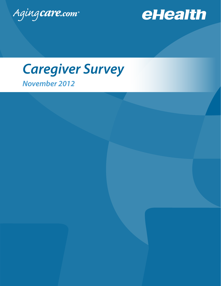



# *November 2012 Caregiver Survey*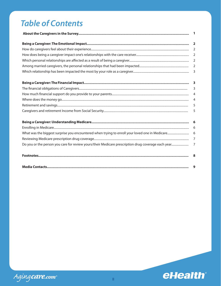## **Table of Contents**

| $\blacksquare$ |
|----------------|
|                |
|                |
|                |
|                |
|                |
|                |
|                |
| $\overline{3}$ |
|                |
|                |
|                |
| 5              |
|                |
|                |
|                |
|                |
| $\overline{7}$ |
| 8              |
| 9              |

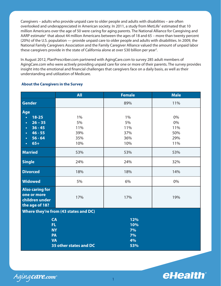Caregivers – adults who provide unpaid care to older people and adults with disabilities – are often overlooked and underappreciated in American society. In 2011, a study from MetLife<sup>1</sup> estimated that 10 million Americans over the age of 50 were caring for aging parents. The National Alliance for Caregiving and AARP estimate<sup>2</sup> that about 44 million Americans between the ages of 18 and 65 – more than twenty percent (20%) of the U.S. population — provide unpaid care to older people and adults with disabilities. In 2009, the National Family Caregivers Association and the Family Caregiver Alliance valued the amount of unpaid labor these caregivers provide in the state of California alone at over \$30 billion per year<sup>3</sup>.

In August 2012, PlanPrescriber.com partnered with AgingCare.com to survey 285 adult members of AgingCare.com who were actively providing unpaid care for one or more of their parents. The survey provides insight into the emotional and financial challenges that caregivers face on a daily basis, as well as their understanding and utilization of Medicare.

|                                                                           | <b>All</b> | <b>Female</b>                | <b>Male</b> |  |  |
|---------------------------------------------------------------------------|------------|------------------------------|-------------|--|--|
| <b>Gender</b>                                                             |            | 89%                          | 11%         |  |  |
| Age                                                                       |            |                              |             |  |  |
| $18 - 25$<br>$\bullet$                                                    | 1%         | 1%                           | 0%          |  |  |
| $26 - 35$<br>$\bullet$                                                    | 5%         | 5%                           | 0%          |  |  |
| $36 - 45$<br>$\bullet$                                                    | 11%        | 11%                          | 11%         |  |  |
| $46 - 55$<br>$\bullet$                                                    | 39%        | 37%                          | 50%         |  |  |
| $56 - 64$<br>$\bullet$                                                    | 35%        | 36%                          | 29%         |  |  |
| $65+$<br>$\bullet$                                                        | 10%        | 10%                          | 11%         |  |  |
| <b>Married</b>                                                            | 53%        | 53%                          | 53%         |  |  |
| <b>Single</b>                                                             | 24%        | 24%                          | 32%         |  |  |
| <b>Divorced</b>                                                           | 18%        | 18%                          | 14%         |  |  |
| <b>Widowed</b>                                                            | 5%         | 6%                           | 0%          |  |  |
| <b>Also caring for</b><br>one or more<br>children under<br>the age of 18? | 17%        | 17%                          | 19%         |  |  |
| Where they're from (43 states and DC)                                     |            |                              |             |  |  |
| <b>CA</b><br>FL.<br><b>NY</b><br>PA<br><b>VA</b>                          |            | 12%<br>10%<br>7%<br>7%<br>4% |             |  |  |
| 35 other states and DC                                                    |            | 53%                          |             |  |  |

### **About the Caregivers in the Survey**



Aging care.com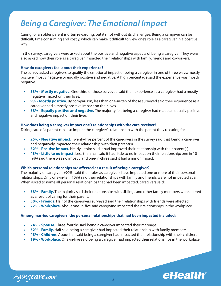## *Being a Caregiver: The Emotional Impact*

Caring for an older parent is often rewarding, but it's not without its challenges. Being a caregiver can be difficult, time consuming and costly, which can make it difficult to view one's role as a caregiver in a positive way.

In the survey, caregivers were asked about the positive and negative aspects of being a caregiver. They were also asked how their role as a caregiver impacted their relationships with family, friends and coworkers.

### **How do caregivers feel about their experience?**

The survey asked caregivers to qualify the emotional impact of being a caregiver in one of three ways: mostly positive, mostly negative or equally positive and negative. A high percentage said the experience was mostly negative.

- **• 33% Mostly negative.** One-third of those surveyed said their experience as a caregiver had a mostly negative impact on their lives.
- **9% Mostly positive.** By comparison, less than one-in-ten of those surveyed said their experience as a caregiver had a mostly positive impact on their lives.
- **58% Equally positive and negative.** The majority felt being a caregiver had made an equally positive and negative impact on their lives.

### **How does being a caregiver impact one's relationships with the care receiver?**

Taking care of a parent can also impact the caregiver's relationship with the parent they're caring for.

- **25% Negative impact.** Twenty-five percent of the caregivers in the survey said that being a caregiver had negatively impacted their relationship with their parent(s).
- **32% Positive impact.** Nearly a third said it had improved their relationship with their parent(s).
- **• 43% Little to no impact.** Less than half said it had little to no impact on their relationship; one in 10 (9%) said there was no impact; and one-in-three said it had a minor impact.

### **Which personal relationships are affected as a result of being a caregiver?**

The majority of caregivers (90%) said their roles as caregivers have impacted one or more of their personal relationships. Only one-in-ten (10%) said their relationships with family and friends were not impacted at all. When asked to name all personal relationships that had been impacted, caregivers said:

- **58% Family.** The majority said their relationships with siblings and other family members were altered as a result of caring for their parent.
- **50% Friends.** Half of the caregivers surveyed said their relationships with friends were affected.
- **22% Workplace.** About one-in-five said caregiving impacted their relationships in the workplace.

### **Among married caregivers, the personal relationships that had been impacted included:**

- **74% Spouse.** Three-fourths said being a caregiver impacted their marriage.
- **52% Family.** Half said being a caregiver had impacted their relationship with family members.
- **• 48% Children.** About half said being a caregiver had impacted their relationship with their children.
- **19% Workplace.** One-in-five said being a caregiver had impacted their relationships in the workplace.

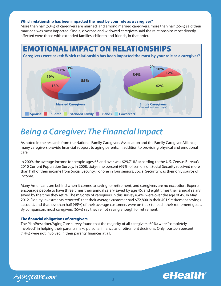#### **Which relationship has been impacted the most by your role as a caregiver?**

More than half (53%) of caregivers are married, and among married caregivers, more than half (55%) said their marriage was most impacted. Single, divorced and widowed caregivers said the relationships most directly affected were those with extended families, children and friends, in that order.



## *Being a Caregiver: The Financial Impact*

As noted in the research from the National Family Caregivers Association and the Family Caregiver Alliance, many caregivers provide financial support to aging parents, in addition to providing physical and emotional care.

In 2009, the average income for people ages 65 and over was \$29,718,<sup>4</sup> according to the U.S. Census Bureau's 2010 Current Population Survey. In 2008, sixty-nine percent (69%) of seniors on Social Security received more than half of their income from Social Security. For one in four seniors, Social Security was their only source of income.

Many Americans are behind when it comes to saving for retirement, and caregivers are no exception. Experts encourage people to have three times their annual salary saved by age 45, and eight times their annual salary saved by the time they retire. The majority of caregivers in this survey (84%) were over the age of 45. In May 2012, Fidelity Investments reported<sup>5</sup> that their average customer had \$72,800 in their 401K retirement savings account, and that less than half (45%) of their average customers were on track to reach their retirement goals. By comparison, most caregivers (65%) say they're not saving enough for retirement.

### **The financial obligations of caregivers**

The PlanPrescriber/AgingCare survey found that the majority of all caregivers (60%) were "completely involved" in helping their parents make personal finance and retirement decisions. Only fourteen percent (14%) were not involved in their parents' finances at all.

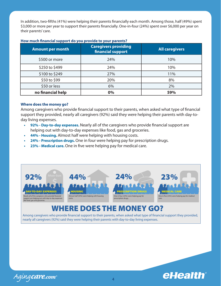In addition, two-fifths (41%) were helping their parents financially each month. Among those, half (49%) spent \$3,000 or more per year to support their parents financially. One-in-four (24%) spent over \$6,000 per year on their parents' care.

| <b>Amount per month</b> | <b>Caregivers providing</b><br>financial support | All caregivers |  |
|-------------------------|--------------------------------------------------|----------------|--|
| \$500 or more           | 24%                                              | 10%            |  |
| \$250 to \$499          | 24%                                              | 10%            |  |
| \$100 to \$249          | 27%                                              | 11%            |  |
| \$50 to \$99            | 20%                                              | 8%             |  |
| \$50 or less            | 6%                                               | 2%             |  |
| no financial help       | 0%                                               | 59%            |  |

### **How much financial support do you provide to your parents?**

### **Where does the money go?**

Among caregivers who provide financial support to their parents, when asked what type of financial support they provided, nearly all caregivers (92%) said they were helping their parents with day-today living expenses.

- 92% Day-to-day expenses. Nearly all of the caregivers who provide financial support are helping out with day-to-day expenses like food, gas and groceries.
- **44% Housing.** Almost half were helping with housing costs.
- **24% Prescription drugs.** One in four were helping pay for prescription drugs.
- **23% Medical care.** One in five were helping pay for medical care.



### WHERE DOES THE MONEY GO?

Among caregivers who provide financial support to their parents, when asked what type of financial support they provided, nearly all caregivers (92%) said they were helping their parents with day-to-day living expenses.

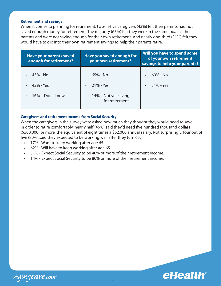#### **Retirement and savings**

When it comes to planning for retirement, two-in-five caregivers (43%) felt their parents had not saved enough money for retirement. The majority (65%) felt they were in the same boat as their parents and were not saving enough for their own retirement. And nearly one-third (31%) felt they would have to dip into their own retirement savings to help their parents retire.

| <b>Have your parents saved</b><br>enough for retirement? | Have you saved enough for<br>your own retirement?                  | Will you have to spend some<br>of your own retirement<br>savings to help your parents? |  |
|----------------------------------------------------------|--------------------------------------------------------------------|----------------------------------------------------------------------------------------|--|
| 43% - No<br>42% - Yes<br>16% – Don't know                | 65% - No<br>$21\%$ - Yes<br>14% – Not yet saving<br>for retirement | 69% - No<br>31% - Yes                                                                  |  |

### **Caregivers and retirement income from Social Security**

When the caregivers in the survey were asked how much they thought they would need to save in order to retire comfortably, nearly half (46%) said they'd need five hundred thousand dollars (\$500,000) or more, the equivalent of eight times a \$62,000 annual salary. Not surprisingly, four out of five (80%) said they expected to be working well after they turn 65.

- • 17% Want to keep working after age 65.
- $\cdot$  62% Will have to keep working after age 65.
- • 31% Expect Social Security to be 40% or more of their retirement income.
- • 14% Expect Social Security to be 80% or more of their retirement income.

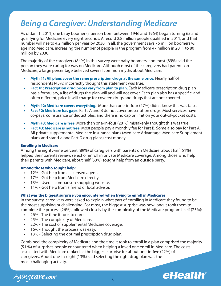## *Being a Caregiver: Understanding Medicare*

As of Jan. 1, 2011, one baby boomer (a person born between 1946 and 1964) began turning 65 and qualifying for Medicare every eight seconds. A record 2.8 million people qualified in 2011, and that number will rise to 4.2 million per year by 2030. In all, the government says 76 million boomers will age into Medicare, increasing the number of people in the program from 47 million in 2011 to 80 million by 2030.

The majority of the caregivers (84%) in this survey were baby boomers, and most (89%) said the person they were caring for was on Medicare. Although most of the caregivers had parents on Medicare, a large percentage believed several common myths about Medicare:

- **• Myth #1: All plans cover the same prescription drugs at the same price.** Nearly half of respondents (45%) incorrectly thought this statement was true.
- **Fact #1: Prescription drug prices vary from plan to plan.** Each Medicare prescription drug plan has a formulary, a list of drugs the plan will and will not cover. Each plan also has a specific, and often different, price it will charge for covered drugs and drugs that are not covered.
- **Myth #2: Medicare covers everything.** More than one-in-four (27%) didn't know this was false.
- **Fact #2: Medicare has gaps.** Parts A and B do not cover prescription drugs. Most services have co-pays, coinsurance or deductibles; and there is no cap or limit on your out-of-pocket costs.
- **• Myth #3: Medicare is free.** More than one-in-four (28 %) mistakenly thought this was true.
- **Fact #3: Medicare is not free.** Most people pay a monthly fee for Part B. Some also pay for Part A. All private supplemental Medicare insurance plans (Medicare Advantage, Medicare Supplement plans and stand-alone Part D drug plans) cost money.

### **Enrolling in Medicare**

Among the eighty-nine percent (89%) of caregivers with parents on Medicare, about half (51%) helped their parents review, select or enroll in private Medicare coverage. Among those who help their parents with Medicare, about half (53%) sought help from an outside party.

### **Among those who sought help:**

- • 12% Got help from a licensed agent.
- • 17% Got help from Medicare directly.
- 13% Used a comparison shopping website.
- 11% Got help from a friend or local advisor.

### **What was the biggest surprise you encountered when trying to enroll in Medicare?**

In the survey, caregivers were asked to explain what part of enrolling in Medicare they found to be the most surprising or challenging. For most, the biggest surprise was how long it took them to complete the process (26%), followed closely by the complexity of the Medicare program itself (25%):

- 26% The time it took to enroll.
- 25% The complexity of Medicare.
- 22% The cost of supplemental Medicare coverage.
- 16% Thought the process was easy.
- 13% Selecting the optimal prescription drug plan.

Combined, the complexity of Medicare and the time it took to enroll in a plan comprised the majority (51 %) of surprises people encountered when helping a loved one enroll in Medicare. The costs associated with Medicare ranked as the biggest surprise for about one-in-five (22%) of caregivers. About one-in-eight (13%) said selecting the right drug plan was the most challenging activity.

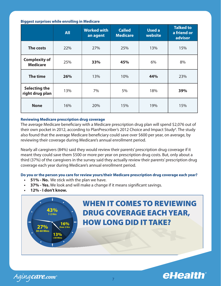### **Biggest surprises while enrolling in Medicare**

|                                         | <b>All</b> | <b>Worked with</b><br>an agent | <b>Called</b><br><b>Medicare</b> | <b>Used a</b><br>website | <b>Talked to</b><br>a friend or<br>advisor |
|-----------------------------------------|------------|--------------------------------|----------------------------------|--------------------------|--------------------------------------------|
| The costs                               | 22%        | 27%                            | 25%                              | 13%                      | 15%                                        |
| <b>Complexity of</b><br><b>Medicare</b> | 25%        | 33%                            | 45%                              | 6%                       | 8%                                         |
| <b>The time</b>                         | 26%        | 13%                            | 10%                              | 44%                      | 23%                                        |
| <b>Selecting the</b><br>right drug plan | 13%        | 7%                             | 5%                               | 18%                      | 39%                                        |
| <b>None</b>                             | 16%        | 20%                            | 15%                              | 19%                      | 15%                                        |

### **Reviewing Medicare prescription drug coverage**

The average Medicare beneficiary with a Medicare prescription drug plan will spend \$2,076 out of their own pocket in 2012, according to PlanPrescriber's 2012 Choice and Impact Study<sup>4</sup>. The study also found that the average Medicare beneficiary could save over \$600 per year, on average, by reviewing their coverage during Medicare's annual enrollment period.

Nearly all caregivers (84%) said they would review their parents' prescription drug coverage if it meant they could save them \$500 or more per year on prescription drug costs. But, only about a third (37%) of the caregivers in the survey said they actually review their parents' prescription drug coverage each year during Medicare's annual enrollment period.

**Do you or the person you care for review yours/their Medicare prescription drug coverage each year?**

- **51% No.** We stick with the plan we have.
- **37% Yes.** We look and will make a change if it means significant savings.
- **• 12% I don't know.**



Aging care.com\*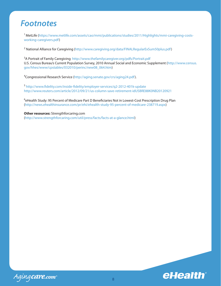### *Footnotes*

<sup>1</sup> MetLife (https://www.metlife.com/assets/cao/mmi/publications/studies/2011/Highlights/mmi-caregiving-costsworking-caregivers.pdf)

<sup>2</sup> National Alliance for Caregiving (http://www.caregiving.org/data/FINALRegularExSum50plus.pdf)

<sup>3</sup>A Portrait of Family Caregiving http://www.thefamilycaregiver.org/pdfs/Portrait.pdf U.S. Census Bureau's Current Population Survey, 2010 Annual Social and Economic Supplement (http://www.census. gov/hhes/www/cpstables/032010/perinc/new08\_064.htm)

<sup>4</sup>Congressional Research Service (http://aging.senate.gov/crs/aging24.pdf).

<sup>5</sup> http://www.fidelity.com/inside-fidelity/employer-services/q2-2012-401k-update http://www.reuters.com/article/2012/09/21/us-column-save-retirement-idUSBRE88K0NB20120921

<sup>6</sup>eHealth Study: 95 Percent of Medicare Part D Beneficiaries Not in Lowest-Cost Prescription Drug Plan (http://news.ehealthinsurance.com/pr/ehi/ehealth-study-95-percent-of-medicare-238719.aspx)

**Other resources:** Strengthforcaring.com (http://www.strengthforcaring.com/util/press/facts/facts-at-a-glance.html)